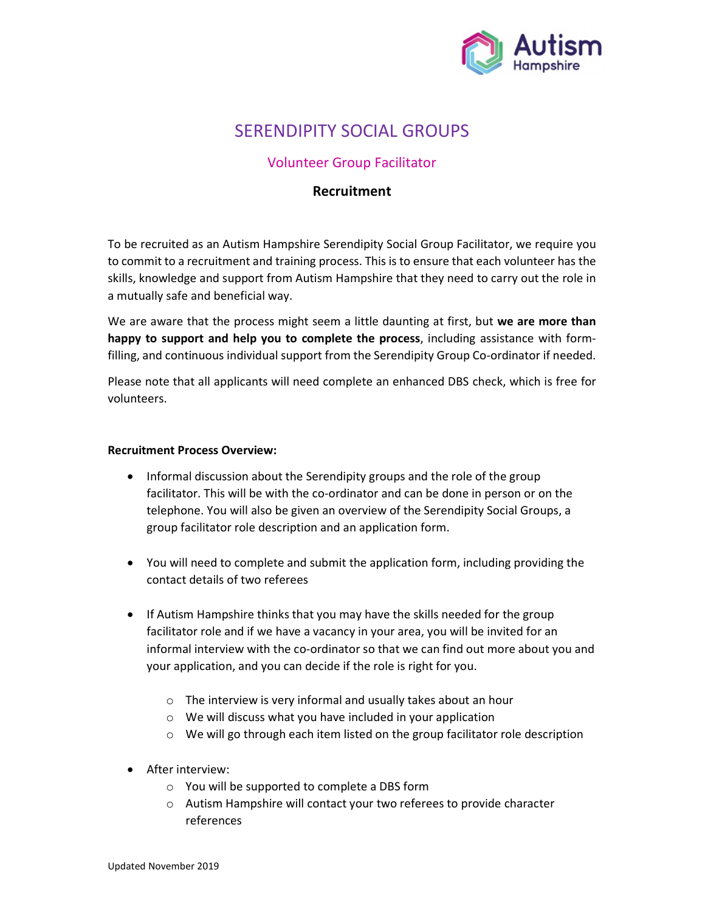

# SERENDIPITY SOCIAL GROUPS

## Volunteer Group Facilitator

### Recruitment

To be recruited as an Autism Hampshire Serendipity Social Group Facilitator, we require you to commit to a recruitment and training process. This is to ensure that each volunteer has the skills, knowledge and support from Autism Hampshire that they need to carry out the role in a mutually safe and beneficial way.

We are aware that the process might seem a little daunting at first, but we are more than happy to support and help you to complete the process, including assistance with formfilling, and continuous individual support from the Serendipity Group Co-ordinator if needed.

Please note that all applicants will need complete an enhanced DBS check, which is free for volunteers.

#### Recruitment Process Overview:

- Informal discussion about the Serendipity groups and the role of the group facilitator. This will be with the co-ordinator and can be done in person or on the telephone. You will also be given an overview of the Serendipity Social Groups, a group facilitator role description and an application form.
- You will need to complete and submit the application form, including providing the contact details of two referees
- If Autism Hampshire thinks that you may have the skills needed for the group facilitator role and if we have a vacancy in your area, you will be invited for an informal interview with the co-ordinator so that we can find out more about you and your application, and you can decide if the role is right for you.
	- o The interview is very informal and usually takes about an hour
	- o We will discuss what you have included in your application
	- o We will go through each item listed on the group facilitator role description
- After interview:
	- o You will be supported to complete a DBS form
	- o Autism Hampshire will contact your two referees to provide character references